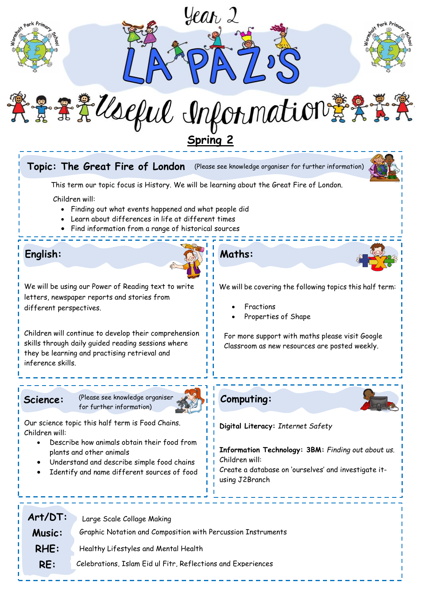